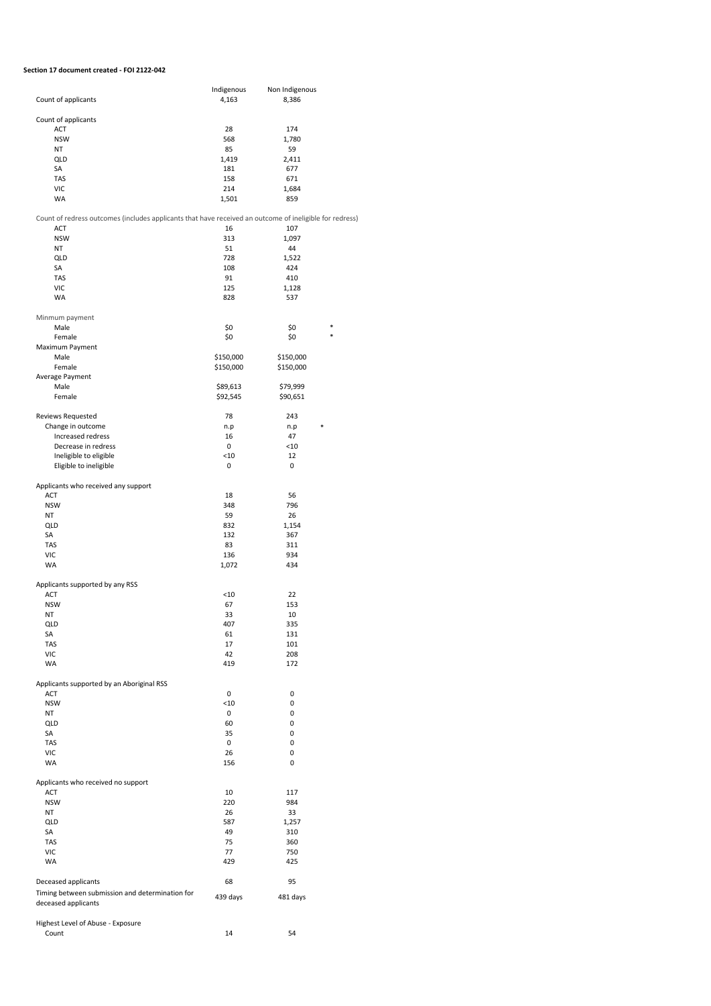## **Section 17 document created - FOI 2122-042**

|                                                                                                         | Indigenous | Non Indigenous |   |
|---------------------------------------------------------------------------------------------------------|------------|----------------|---|
| Count of applicants                                                                                     | 4,163      | 8,386          |   |
| Count of applicants                                                                                     |            |                |   |
| ACT                                                                                                     | 28         | 174            |   |
| <b>NSW</b>                                                                                              | 568        | 1,780          |   |
| <b>NT</b>                                                                                               | 85         | 59             |   |
| QLD                                                                                                     | 1,419      | 2,411          |   |
| SA                                                                                                      | 181        | 677            |   |
| <b>TAS</b>                                                                                              | 158        | 671            |   |
| <b>VIC</b>                                                                                              | 214        | 1,684          |   |
| WA                                                                                                      | 1,501      | 859            |   |
|                                                                                                         |            |                |   |
| Count of redress outcomes (includes applicants that have received an outcome of ineligible for redress) |            |                |   |
| ACT                                                                                                     | 16         | 107            |   |
| <b>NSW</b>                                                                                              | 313        | 1,097          |   |
| <b>NT</b>                                                                                               | 51         | 44             |   |
| QLD<br><b>SA</b>                                                                                        | 728<br>108 | 1,522<br>424   |   |
| <b>TAS</b>                                                                                              | 91         | 410            |   |
| <b>VIC</b>                                                                                              | 125        | 1,128          |   |
| WA                                                                                                      | 828        | 537            |   |
|                                                                                                         |            |                |   |
| Minmum payment                                                                                          |            |                |   |
| Male                                                                                                    | \$0        | \$0            | * |
| Female                                                                                                  | \$0        | \$0            | * |
| Maximum Payment                                                                                         |            |                |   |
| Male                                                                                                    | \$150,000  | \$150,000      |   |
| Female                                                                                                  | \$150,000  | \$150,000      |   |
| Average Payment                                                                                         |            |                |   |
| Male                                                                                                    | \$89,613   | \$79,999       |   |
| Female                                                                                                  | \$92,545   | \$90,651       |   |
|                                                                                                         |            |                |   |
| Reviews Requested                                                                                       | 78         | 243            |   |
| Change in outcome                                                                                       | n.p        | n.p<br>*       |   |
| Increased redress                                                                                       | 16         | 47             |   |
| Decrease in redress                                                                                     | 0          | < 10           |   |
| Ineligible to eligible                                                                                  | < 10       | 12             |   |
| Eligible to ineligible                                                                                  | 0          | 0              |   |
| Applicants who received any support                                                                     |            |                |   |
| ACT                                                                                                     | 18         | 56             |   |
| <b>NSW</b>                                                                                              | 348        | 796            |   |
| NT                                                                                                      | 59         | 26             |   |
| QLD                                                                                                     | 832        | 1,154          |   |
| SA                                                                                                      | 132        | 367            |   |
| TAS                                                                                                     | 83         | 311            |   |
| VIC                                                                                                     | 136        | 934            |   |
| WA                                                                                                      | 1,072      | 434            |   |
|                                                                                                         |            |                |   |
| Applicants supported by any RSS                                                                         |            |                |   |
| ACT                                                                                                     | $<$ 10     | 22             |   |
| <b>NSW</b>                                                                                              | 67         | 153            |   |
| NT                                                                                                      | 33         | 10             |   |
| QLD                                                                                                     | 407        | 335            |   |
| SA<br><b>TAS</b>                                                                                        | 61         | 131            |   |
|                                                                                                         | 17         | 101            |   |
| VIC                                                                                                     | 42         | 208            |   |
| WA                                                                                                      | 419        | 172            |   |
| Applicants supported by an Aboriginal RSS                                                               |            |                |   |
| ACT                                                                                                     | 0          | 0              |   |
| <b>NSW</b>                                                                                              | $<$ 10     | 0              |   |
| ΝT                                                                                                      | 0          | 0              |   |
| QLD                                                                                                     | 60         | 0              |   |
| SA                                                                                                      | 35         | 0              |   |
| TAS                                                                                                     | 0          | 0              |   |
| VIC                                                                                                     | 26         | 0              |   |
| WA                                                                                                      | 156        | 0              |   |
|                                                                                                         |            |                |   |
| Applicants who received no support                                                                      |            |                |   |
| ACT                                                                                                     | 10         | 117            |   |
| <b>NSW</b>                                                                                              | 220        | 984            |   |
| ΝT                                                                                                      | 26         | 33             |   |
| QLD                                                                                                     | 587        | 1,257          |   |
| SA<br>TAS                                                                                               | 49<br>75   | 310            |   |
| VIC                                                                                                     | 77         | 360<br>750     |   |
| WA                                                                                                      | 429        | 425            |   |
|                                                                                                         |            |                |   |
| Deceased applicants                                                                                     | 68         | 95             |   |
| Timing between submission and determination for                                                         |            |                |   |
| deceased applicants                                                                                     | 439 days   | 481 days       |   |
|                                                                                                         |            |                |   |
| Highest Level of Abuse - Exposure                                                                       |            |                |   |
| Count                                                                                                   | 14         | 54             |   |
|                                                                                                         |            |                |   |